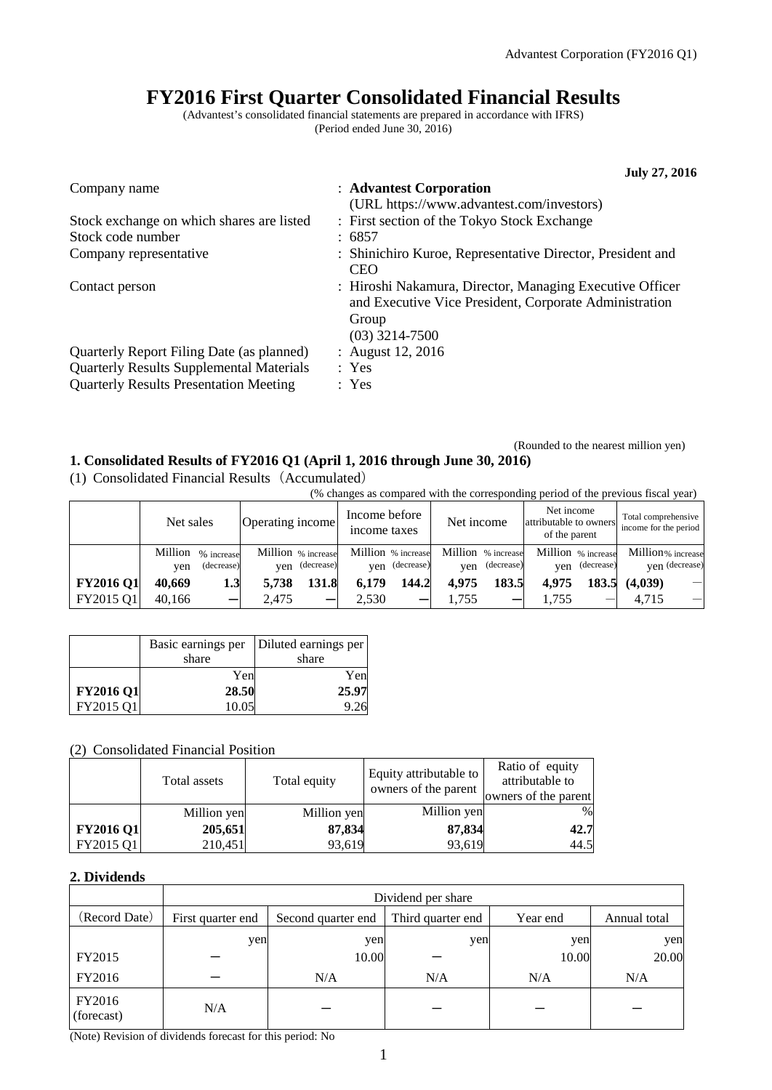# **FY2016 First Quarter Consolidated Financial Results**

(Advantest's consolidated financial statements are prepared in accordance with IFRS) (Period ended June 30, 2016)

|                                                 | <b>July 27, 2016</b>                                                                                                                            |
|-------------------------------------------------|-------------------------------------------------------------------------------------------------------------------------------------------------|
| Company name                                    | : Advantest Corporation<br>(URL https://www.advantest.com/investors)                                                                            |
| Stock exchange on which shares are listed       | : First section of the Tokyo Stock Exchange                                                                                                     |
| Stock code number                               | : 6857                                                                                                                                          |
| Company representative                          | : Shinichiro Kuroe, Representative Director, President and<br><b>CEO</b>                                                                        |
| Contact person                                  | : Hiroshi Nakamura, Director, Managing Executive Officer<br>and Executive Vice President, Corporate Administration<br>Group<br>$(03)$ 3214-7500 |
| Quarterly Report Filing Date (as planned)       | : August $12, 2016$                                                                                                                             |
| <b>Quarterly Results Supplemental Materials</b> | : Yes                                                                                                                                           |
| <b>Quarterly Results Presentation Meeting</b>   | : Yes                                                                                                                                           |

#### (Rounded to the nearest million yen) **1. Consolidated Results of FY2016 Q1 (April 1, 2016 through June 30, 2016)**

(1) Consolidated Financial Results(Accumulated)

(% changes as compared with the corresponding period of the previous fiscal year) Net sales  $\qquad$  Operating income Income before income taxes Net income Net income attributable to owners of the parent Total comprehensive income for the period Million % increase yen (decrease) Million % increase yen (decrease) Million % increase yen (decrease) Million % increase yen (decrease) Million % increase yen (decrease) Million% increase yen (decrease)  **FY2016 Q1 40,669 1.3 5,738 131.8 6,179 144.2 4,975 183.5 4,975 183.5 (4,039)** - FY2015 Q1 40,166 - 2,475 - 2,530 - 1,755 - 1,755 - 4,715 -

|                  |       | Basic earnings per   Diluted earnings per |
|------------------|-------|-------------------------------------------|
|                  | share | share                                     |
|                  | Yen   | Yen                                       |
| <b>FY2016 Q1</b> | 28.50 | 25.97                                     |
| FY2015 Q1        | 10.05 | 9.26                                      |

# (2) Consolidated Financial Position

|                  | Total assets | Total equity | Equity attributable to<br>owners of the parent | Ratio of equity<br>attributable to<br>owners of the parent |
|------------------|--------------|--------------|------------------------------------------------|------------------------------------------------------------|
|                  | Million yen  | Million yen  | Million yen                                    | %                                                          |
| <b>FY2016 Q1</b> | 205,651      | 87,834       | 87,834                                         | 42.7                                                       |
| FY2015 Q1        | 210,451      | 93,619       | 93,619                                         | 44.5                                                       |

# **2. Dividends**

|                      | Dividend per share |                                                                     |     |       |       |  |
|----------------------|--------------------|---------------------------------------------------------------------|-----|-------|-------|--|
| (Record Date)        | First quarter end  | Third quarter end<br>Second quarter end<br>Year end<br>Annual total |     |       |       |  |
|                      | yen                | yen                                                                 | yen | yen   | yen   |  |
| FY2015               |                    | 10.00                                                               |     | 10.00 | 20.00 |  |
| FY2016               |                    | N/A                                                                 | N/A | N/A   | N/A   |  |
| FY2016<br>(forecast) | N/A                |                                                                     |     |       |       |  |

(Note) Revision of dividends forecast for this period: No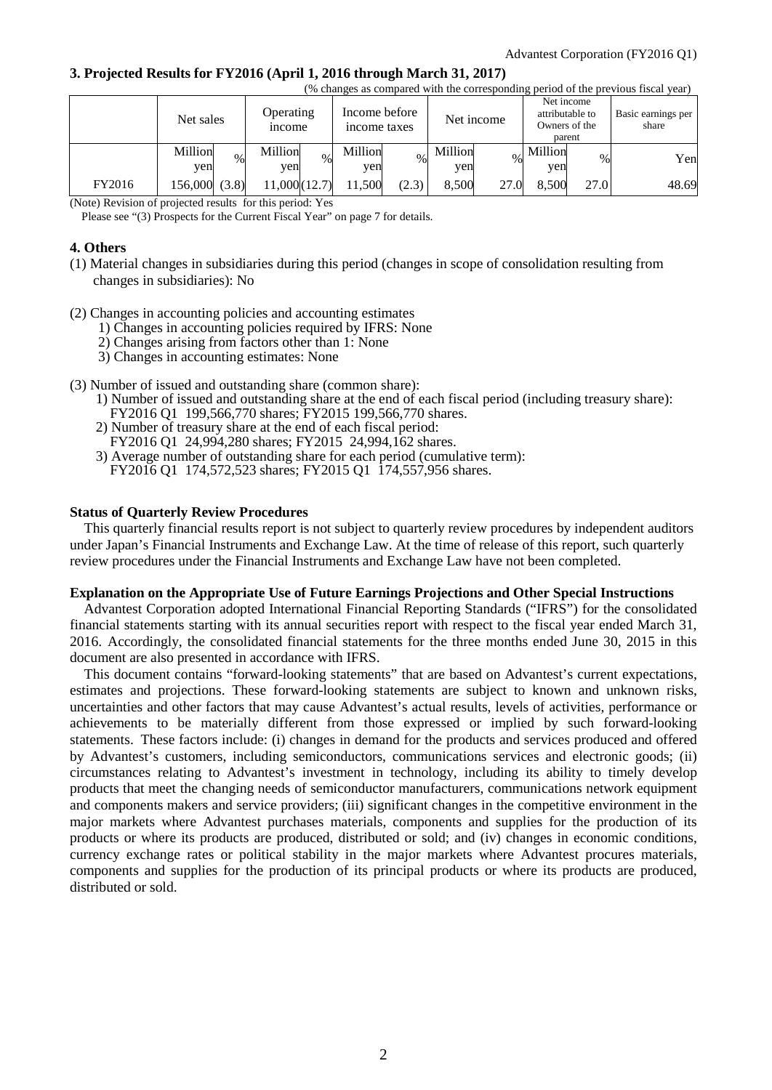### **3. Projected Results for FY2016 (April 1, 2016 through March 31, 2017)**

|        | (% changes as compared with the corresponding period of the previous fiscal year) |                                   |                               |                |                                                          |                             |
|--------|-----------------------------------------------------------------------------------|-----------------------------------|-------------------------------|----------------|----------------------------------------------------------|-----------------------------|
|        | Net sales                                                                         | <b>Operating</b><br><i>n</i> come | Income before<br>income taxes | Net income     | Net income<br>attributable to<br>Owners of the<br>parent | Basic earnings per<br>share |
|        | Million<br>$\%$<br>ven                                                            | Million<br>$\%$<br>ven            | Million<br>$\%$<br>yen        | Million<br>yen | Million<br>$\%$<br>yen                                   | Yen                         |
| FY2016 | 156,000 (3.8)                                                                     | 11,000(12.7)                      | 11.500<br>(2.3)               | 8.500<br>27.0  | 27.0<br>8.500                                            | 48.69                       |

(Note) Revision of projected results for this period: Yes

Please see "(3) Prospects for the Current Fiscal Year" on page 7 for details.

# **4. Others**

- (1) Material changes in subsidiaries during this period (changes in scope of consolidation resulting from changes in subsidiaries): No
- (2) Changes in accounting policies and accounting estimates
	- 1) Changes in accounting policies required by IFRS: None
	- 2) Changes arising from factors other than 1: None
	- 3) Changes in accounting estimates: None
- (3) Number of issued and outstanding share (common share):
	- 1) Number of issued and outstanding share at the end of each fiscal period (including treasury share):
	- FY2016 Q1 199,566,770 shares; FY2015 199,566,770 shares.
	- 2) Number of treasury share at the end of each fiscal period:
	- FY2016 Q1 24,994,280 shares; FY2015 24,994,162 shares.
	- 3) Average number of outstanding share for each period (cumulative term): FY2016 Q1 174,572,523 shares; FY2015 Q1 174,557,956 shares.

#### **Status of Quarterly Review Procedures**

This quarterly financial results report is not subject to quarterly review procedures by independent auditors under Japan's Financial Instruments and Exchange Law. At the time of release of this report, such quarterly review procedures under the Financial Instruments and Exchange Law have not been completed.

#### **Explanation on the Appropriate Use of Future Earnings Projections and Other Special Instructions**

Advantest Corporation adopted International Financial Reporting Standards ("IFRS") for the consolidated financial statements starting with its annual securities report with respect to the fiscal year ended March 31, 2016. Accordingly, the consolidated financial statements for the three months ended June 30, 2015 in this document are also presented in accordance with IFRS.

This document contains "forward-looking statements" that are based on Advantest's current expectations, estimates and projections. These forward-looking statements are subject to known and unknown risks, uncertainties and other factors that may cause Advantest's actual results, levels of activities, performance or achievements to be materially different from those expressed or implied by such forward-looking statements. These factors include: (i) changes in demand for the products and services produced and offered by Advantest's customers, including semiconductors, communications services and electronic goods; (ii) circumstances relating to Advantest's investment in technology, including its ability to timely develop products that meet the changing needs of semiconductor manufacturers, communications network equipment and components makers and service providers; (iii) significant changes in the competitive environment in the major markets where Advantest purchases materials, components and supplies for the production of its products or where its products are produced, distributed or sold; and (iv) changes in economic conditions, currency exchange rates or political stability in the major markets where Advantest procures materials, components and supplies for the production of its principal products or where its products are produced, distributed or sold.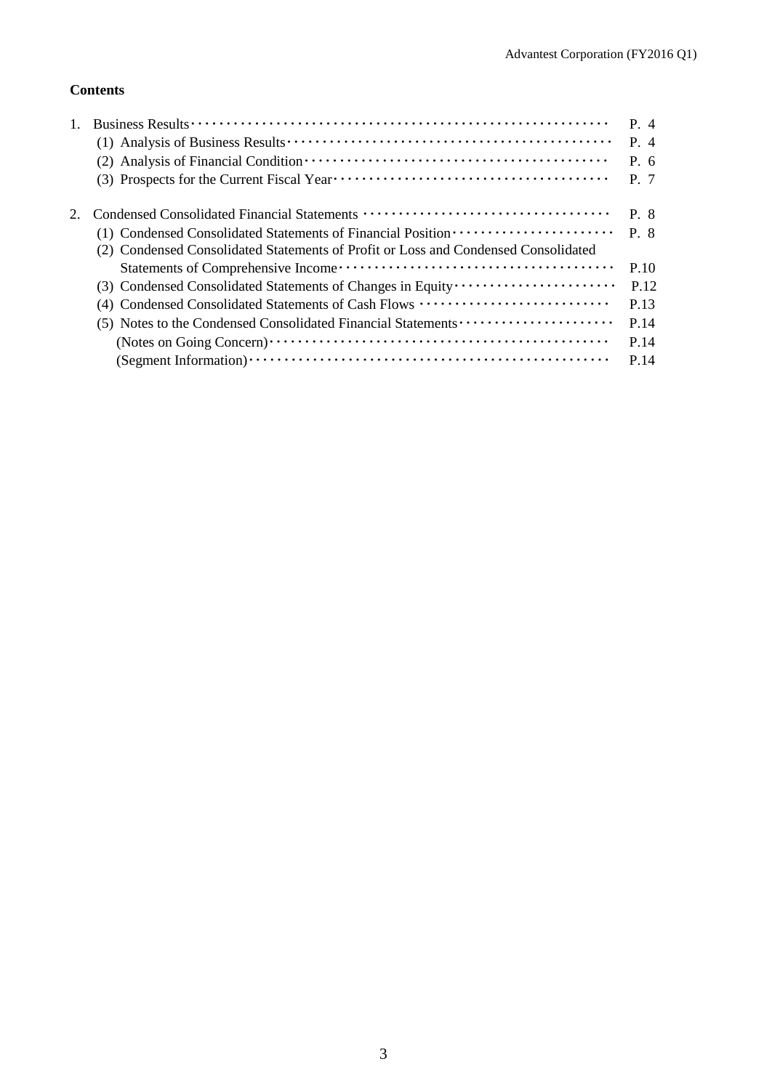# **Contents**

|                                                                                                                                                                         | P. 4<br>$P_4$<br>$P_{0}$ 6<br>P. 7 |
|-------------------------------------------------------------------------------------------------------------------------------------------------------------------------|------------------------------------|
| (1) Condensed Consolidated Statements of Financial Position ·····················<br>(2) Condensed Consolidated Statements of Profit or Loss and Condensed Consolidated | P. 8<br>$P \cdot 8$                |
|                                                                                                                                                                         | P.10                               |
| (3) Condensed Consolidated Statements of Changes in Equity                                                                                                              | P.12                               |
| (4) Condensed Consolidated Statements of Cash Flows                                                                                                                     | P.13                               |
|                                                                                                                                                                         | P.14                               |
|                                                                                                                                                                         | P.14                               |
|                                                                                                                                                                         | P.14                               |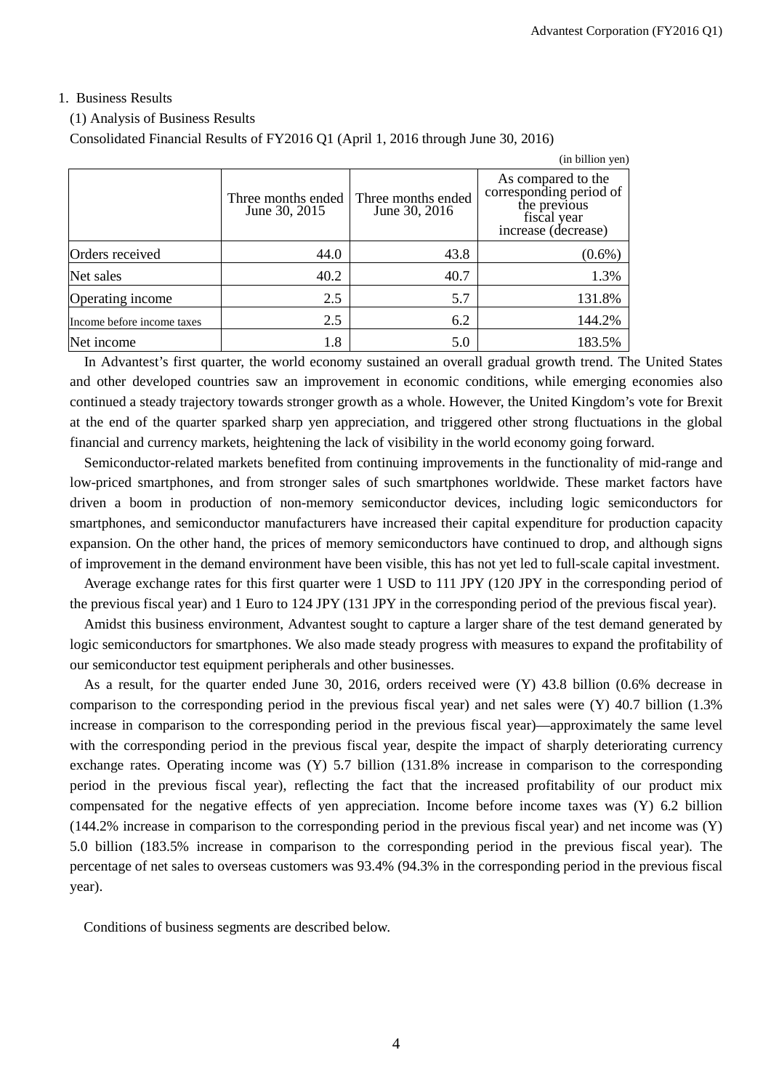## 1. Business Results

(1) Analysis of Business Results

Consolidated Financial Results of FY2016 Q1 (April 1, 2016 through June 30, 2016)

|                            |                                     |                                     | (in billion yen)                                                                                    |
|----------------------------|-------------------------------------|-------------------------------------|-----------------------------------------------------------------------------------------------------|
|                            | Three months ended<br>June 30, 2015 | Three months ended<br>June 30, 2016 | As compared to the<br>corresponding period of<br>the previous<br>fiscal year<br>increase (decrease) |
| Orders received            | 44.0                                | 43.8                                | $(0.6\%)$                                                                                           |
| Net sales                  | 40.2                                | 40.7                                | 1.3%                                                                                                |
| Operating income           | 2.5                                 | 5.7                                 | 131.8%                                                                                              |
| Income before income taxes | 2.5                                 | 6.2                                 | 144.2%                                                                                              |
| Net income                 | 1.8                                 | 5.0                                 | 183.5%                                                                                              |

In Advantest's first quarter, the world economy sustained an overall gradual growth trend. The United States and other developed countries saw an improvement in economic conditions, while emerging economies also continued a steady trajectory towards stronger growth as a whole. However, the United Kingdom's vote for Brexit at the end of the quarter sparked sharp yen appreciation, and triggered other strong fluctuations in the global financial and currency markets, heightening the lack of visibility in the world economy going forward.

Semiconductor-related markets benefited from continuing improvements in the functionality of mid-range and low-priced smartphones, and from stronger sales of such smartphones worldwide. These market factors have driven a boom in production of non-memory semiconductor devices, including logic semiconductors for smartphones, and semiconductor manufacturers have increased their capital expenditure for production capacity expansion. On the other hand, the prices of memory semiconductors have continued to drop, and although signs of improvement in the demand environment have been visible, this has not yet led to full-scale capital investment.

Average exchange rates for this first quarter were 1 USD to 111 JPY (120 JPY in the corresponding period of the previous fiscal year) and 1 Euro to 124 JPY (131 JPY in the corresponding period of the previous fiscal year).

Amidst this business environment, Advantest sought to capture a larger share of the test demand generated by logic semiconductors for smartphones. We also made steady progress with measures to expand the profitability of our semiconductor test equipment peripherals and other businesses.

As a result, for the quarter ended June 30, 2016, orders received were (Y) 43.8 billion (0.6% decrease in comparison to the corresponding period in the previous fiscal year) and net sales were (Y) 40.7 billion (1.3% increase in comparison to the corresponding period in the previous fiscal year)—approximately the same level with the corresponding period in the previous fiscal year, despite the impact of sharply deteriorating currency exchange rates. Operating income was (Y) 5.7 billion (131.8% increase in comparison to the corresponding period in the previous fiscal year), reflecting the fact that the increased profitability of our product mix compensated for the negative effects of yen appreciation. Income before income taxes was (Y) 6.2 billion (144.2% increase in comparison to the corresponding period in the previous fiscal year) and net income was (Y) 5.0 billion (183.5% increase in comparison to the corresponding period in the previous fiscal year). The percentage of net sales to overseas customers was 93.4% (94.3% in the corresponding period in the previous fiscal year).

Conditions of business segments are described below.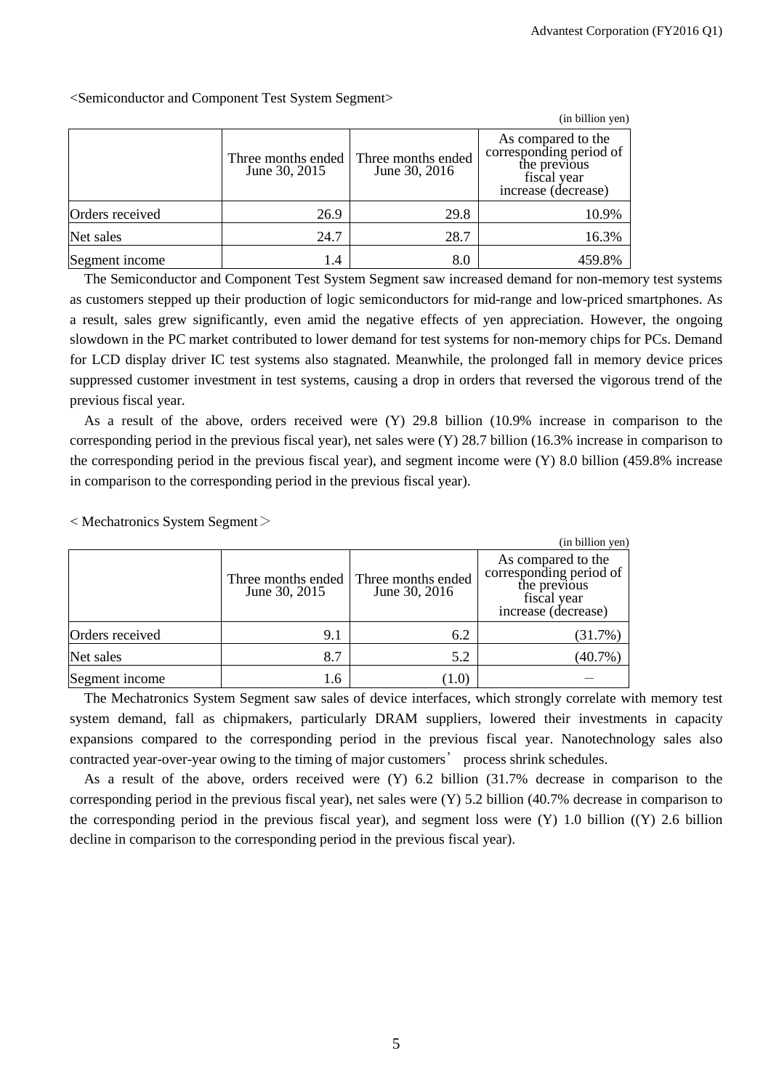|                 |                                     |                                     | (in billion yen)                                                                                    |
|-----------------|-------------------------------------|-------------------------------------|-----------------------------------------------------------------------------------------------------|
|                 | Three months ended<br>June 30, 2015 | Three months ended<br>June 30, 2016 | As compared to the<br>corresponding period of<br>the previous<br>fiscal year<br>increase (decrease) |
| Orders received | 26.9                                | 29.8                                | 10.9%                                                                                               |
| Net sales       | 24.7                                | 28.7                                | 16.3%                                                                                               |
| Segment income  | 1.4                                 | 8.0                                 | 459.8%                                                                                              |

<Semiconductor and Component Test System Segment>

The Semiconductor and Component Test System Segment saw increased demand for non-memory test systems as customers stepped up their production of logic semiconductors for mid-range and low-priced smartphones. As a result, sales grew significantly, even amid the negative effects of yen appreciation. However, the ongoing slowdown in the PC market contributed to lower demand for test systems for non-memory chips for PCs. Demand for LCD display driver IC test systems also stagnated. Meanwhile, the prolonged fall in memory device prices suppressed customer investment in test systems, causing a drop in orders that reversed the vigorous trend of the previous fiscal year.

As a result of the above, orders received were (Y) 29.8 billion (10.9% increase in comparison to the corresponding period in the previous fiscal year), net sales were (Y) 28.7 billion (16.3% increase in comparison to the corresponding period in the previous fiscal year), and segment income were (Y) 8.0 billion (459.8% increase in comparison to the corresponding period in the previous fiscal year).

 $<$  Mechatronics System Segment $>$ 

|                 |                                     |                                     | (in billion yen)                                                                                    |
|-----------------|-------------------------------------|-------------------------------------|-----------------------------------------------------------------------------------------------------|
|                 | Three months ended<br>June 30, 2015 | Three months ended<br>June 30, 2016 | As compared to the<br>corresponding period of<br>the previous<br>fiscal year<br>increase (decrease) |
| Orders received | 9.1                                 | 6.2                                 | (31.7%)                                                                                             |
| Net sales       | 8.7                                 | 5.2                                 | $(40.7\%)$                                                                                          |
| Segment income  | 1.6                                 | (1.0)                               |                                                                                                     |

The Mechatronics System Segment saw sales of device interfaces, which strongly correlate with memory test system demand, fall as chipmakers, particularly DRAM suppliers, lowered their investments in capacity expansions compared to the corresponding period in the previous fiscal year. Nanotechnology sales also contracted year-over-year owing to the timing of major customers' process shrink schedules.

As a result of the above, orders received were (Y) 6.2 billion (31.7% decrease in comparison to the corresponding period in the previous fiscal year), net sales were (Y) 5.2 billion (40.7% decrease in comparison to the corresponding period in the previous fiscal year), and segment loss were (Y) 1.0 billion ((Y) 2.6 billion decline in comparison to the corresponding period in the previous fiscal year).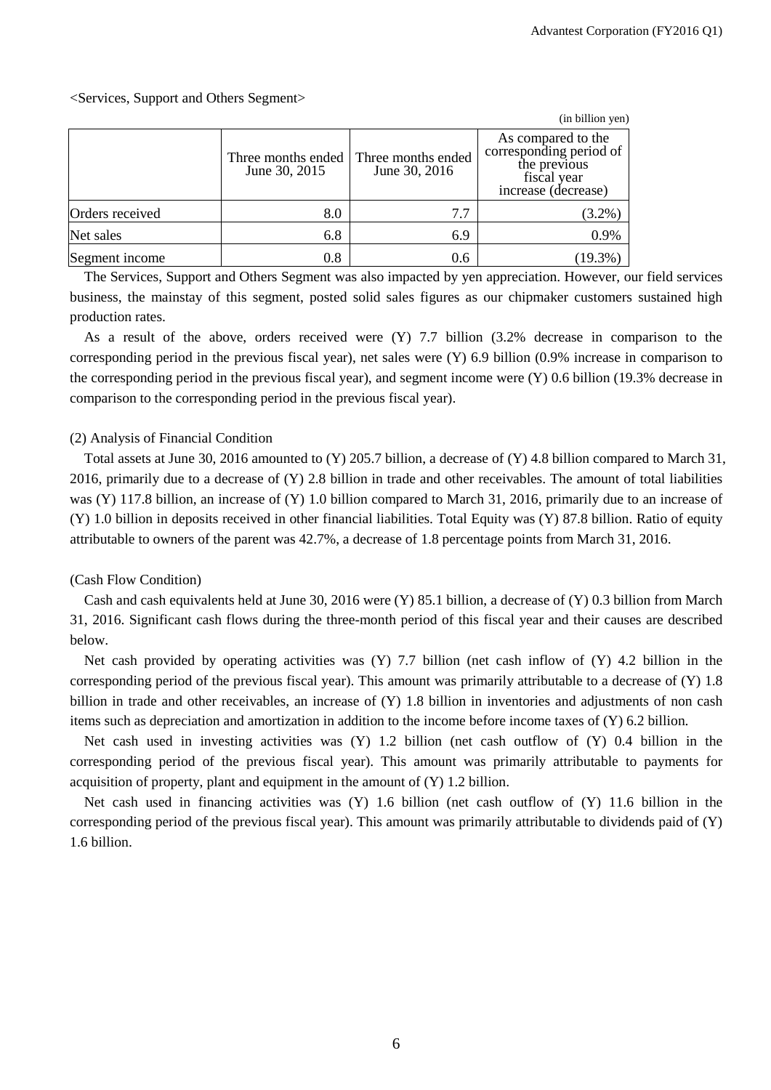## <Services, Support and Others Segment>

|                 |                                     |                                     | (in billion yen)                                                                                    |
|-----------------|-------------------------------------|-------------------------------------|-----------------------------------------------------------------------------------------------------|
|                 | Three months ended<br>June 30, 2015 | Three months ended<br>June 30, 2016 | As compared to the<br>corresponding period of<br>the previous<br>fiscal vear<br>increase (decrease) |
| Orders received | 8.0                                 | 7.7                                 | $(3.2\%)$                                                                                           |
| Net sales       | 6.8                                 | 6.9                                 | 0.9%                                                                                                |
| Segment income  | 0.8                                 | 0.6                                 | $(19.3\%$                                                                                           |

The Services, Support and Others Segment was also impacted by yen appreciation. However, our field services business, the mainstay of this segment, posted solid sales figures as our chipmaker customers sustained high production rates.

As a result of the above, orders received were (Y) 7.7 billion (3.2% decrease in comparison to the corresponding period in the previous fiscal year), net sales were (Y) 6.9 billion (0.9% increase in comparison to the corresponding period in the previous fiscal year), and segment income were (Y) 0.6 billion (19.3% decrease in comparison to the corresponding period in the previous fiscal year).

# (2) Analysis of Financial Condition

Total assets at June 30, 2016 amounted to (Y) 205.7 billion, a decrease of (Y) 4.8 billion compared to March 31, 2016, primarily due to a decrease of (Y) 2.8 billion in trade and other receivables. The amount of total liabilities was (Y) 117.8 billion, an increase of (Y) 1.0 billion compared to March 31, 2016, primarily due to an increase of (Y) 1.0 billion in deposits received in other financial liabilities. Total Equity was (Y) 87.8 billion. Ratio of equity attributable to owners of the parent was 42.7%, a decrease of 1.8 percentage points from March 31, 2016.

#### (Cash Flow Condition)

Cash and cash equivalents held at June 30, 2016 were (Y) 85.1 billion, a decrease of (Y) 0.3 billion from March 31, 2016. Significant cash flows during the three-month period of this fiscal year and their causes are described below.

Net cash provided by operating activities was  $(Y)$  7.7 billion (net cash inflow of  $(Y)$  4.2 billion in the corresponding period of the previous fiscal year). This amount was primarily attributable to a decrease of (Y) 1.8 billion in trade and other receivables, an increase of (Y) 1.8 billion in inventories and adjustments of non cash items such as depreciation and amortization in addition to the income before income taxes of (Y) 6.2 billion.

Net cash used in investing activities was (Y) 1.2 billion (net cash outflow of (Y) 0.4 billion in the corresponding period of the previous fiscal year). This amount was primarily attributable to payments for acquisition of property, plant and equipment in the amount of (Y) 1.2 billion.

Net cash used in financing activities was (Y) 1.6 billion (net cash outflow of (Y) 11.6 billion in the corresponding period of the previous fiscal year). This amount was primarily attributable to dividends paid of (Y) 1.6 billion.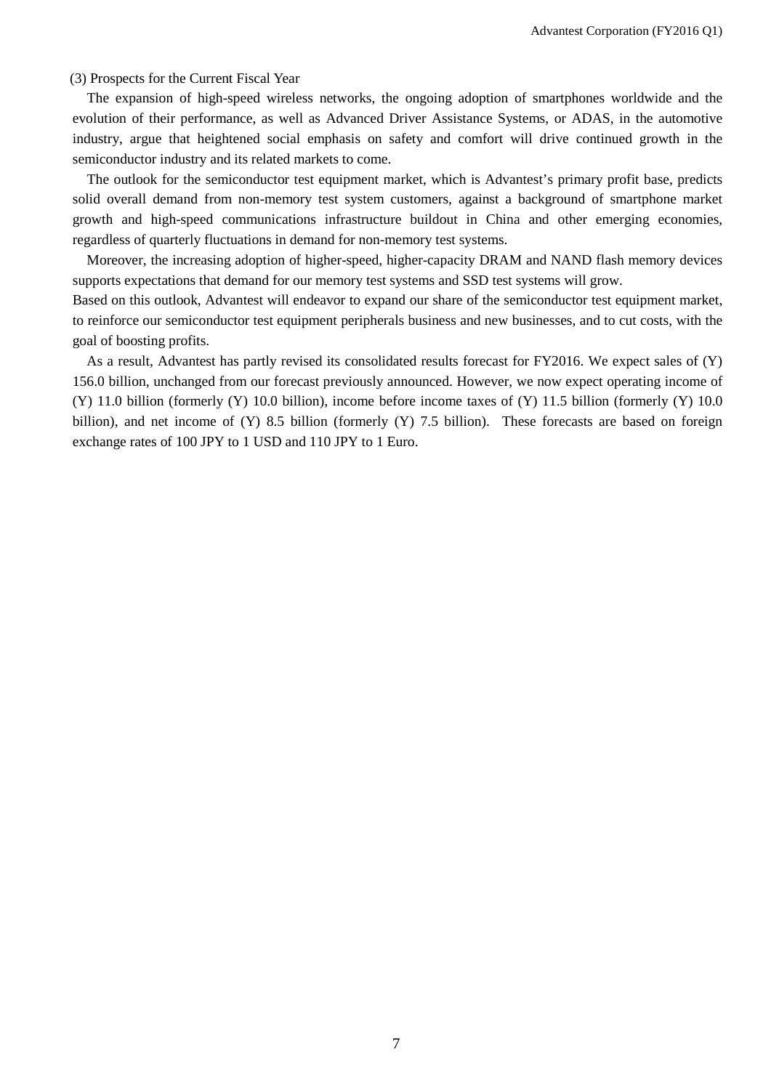(3) Prospects for the Current Fiscal Year

The expansion of high-speed wireless networks, the ongoing adoption of smartphones worldwide and the evolution of their performance, as well as Advanced Driver Assistance Systems, or ADAS, in the automotive industry, argue that heightened social emphasis on safety and comfort will drive continued growth in the semiconductor industry and its related markets to come.

The outlook for the semiconductor test equipment market, which is Advantest's primary profit base, predicts solid overall demand from non-memory test system customers, against a background of smartphone market growth and high-speed communications infrastructure buildout in China and other emerging economies, regardless of quarterly fluctuations in demand for non-memory test systems.

Moreover, the increasing adoption of higher-speed, higher-capacity DRAM and NAND flash memory devices supports expectations that demand for our memory test systems and SSD test systems will grow.

Based on this outlook, Advantest will endeavor to expand our share of the semiconductor test equipment market, to reinforce our semiconductor test equipment peripherals business and new businesses, and to cut costs, with the goal of boosting profits.

As a result, Advantest has partly revised its consolidated results forecast for FY2016. We expect sales of (Y) 156.0 billion, unchanged from our forecast previously announced. However, we now expect operating income of (Y) 11.0 billion (formerly (Y) 10.0 billion), income before income taxes of (Y) 11.5 billion (formerly (Y) 10.0 billion), and net income of (Y) 8.5 billion (formerly (Y) 7.5 billion). These forecasts are based on foreign exchange rates of 100 JPY to 1 USD and 110 JPY to 1 Euro.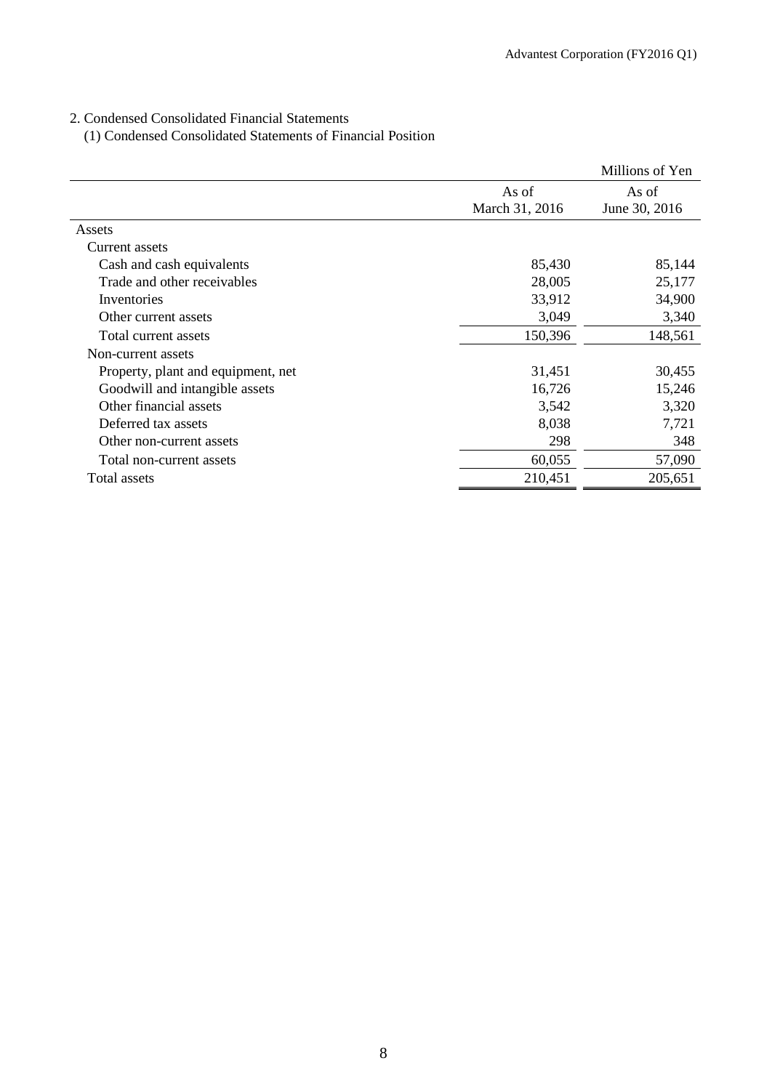# 2. Condensed Consolidated Financial Statements

(1) Condensed Consolidated Statements of Financial Position

|                                    |                         | Millions of Yen        |
|------------------------------------|-------------------------|------------------------|
|                                    | As of<br>March 31, 2016 | As of<br>June 30, 2016 |
| Assets                             |                         |                        |
| Current assets                     |                         |                        |
| Cash and cash equivalents          | 85,430                  | 85,144                 |
| Trade and other receivables        | 28,005                  | 25,177                 |
| Inventories                        | 33,912                  | 34,900                 |
| Other current assets               | 3,049                   | 3,340                  |
| Total current assets               | 150,396                 | 148,561                |
| Non-current assets                 |                         |                        |
| Property, plant and equipment, net | 31,451                  | 30,455                 |
| Goodwill and intangible assets     | 16,726                  | 15,246                 |
| Other financial assets             | 3,542                   | 3,320                  |
| Deferred tax assets                | 8,038                   | 7,721                  |
| Other non-current assets           | 298                     | 348                    |
| Total non-current assets           | 60,055                  | 57,090                 |
| Total assets                       | 210,451                 | 205,651                |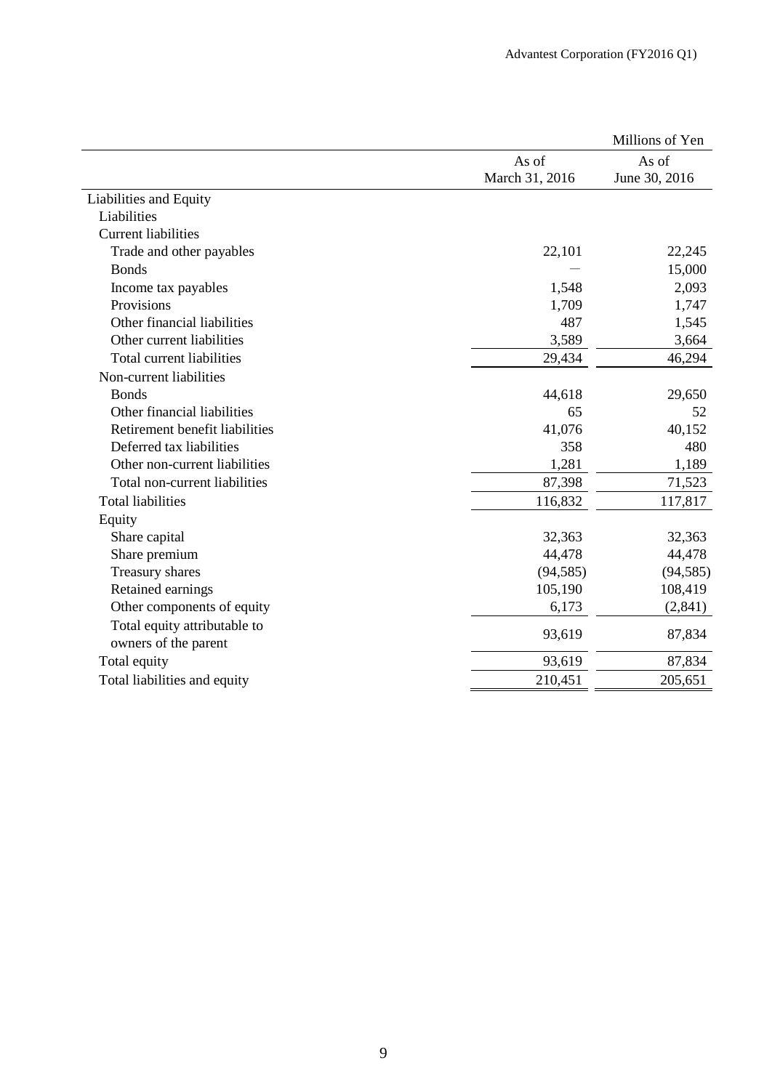|                                |                         | Millions of Yen        |
|--------------------------------|-------------------------|------------------------|
|                                | As of<br>March 31, 2016 | As of<br>June 30, 2016 |
| Liabilities and Equity         |                         |                        |
| Liabilities                    |                         |                        |
| <b>Current liabilities</b>     |                         |                        |
| Trade and other payables       | 22,101                  | 22,245                 |
| <b>Bonds</b>                   |                         | 15,000                 |
| Income tax payables            | 1,548                   | 2,093                  |
| Provisions                     | 1,709                   | 1,747                  |
| Other financial liabilities    | 487                     | 1,545                  |
| Other current liabilities      | 3,589                   | 3,664                  |
| Total current liabilities      | 29,434                  | 46,294                 |
| Non-current liabilities        |                         |                        |
| <b>Bonds</b>                   | 44,618                  | 29,650                 |
| Other financial liabilities    | 65                      | 52                     |
| Retirement benefit liabilities | 41,076                  | 40,152                 |
| Deferred tax liabilities       | 358                     | 480                    |
| Other non-current liabilities  | 1,281                   | 1,189                  |
| Total non-current liabilities  | 87,398                  | 71,523                 |
| <b>Total liabilities</b>       | 116,832                 | 117,817                |
| Equity                         |                         |                        |
| Share capital                  | 32,363                  | 32,363                 |
| Share premium                  | 44,478                  | 44,478                 |
| Treasury shares                | (94, 585)               | (94, 585)              |
| Retained earnings              | 105,190                 | 108,419                |
| Other components of equity     | 6,173                   | (2, 841)               |
| Total equity attributable to   |                         |                        |
| owners of the parent           | 93,619                  | 87,834                 |
| Total equity                   | 93,619                  | 87,834                 |
| Total liabilities and equity   | 210,451                 | 205,651                |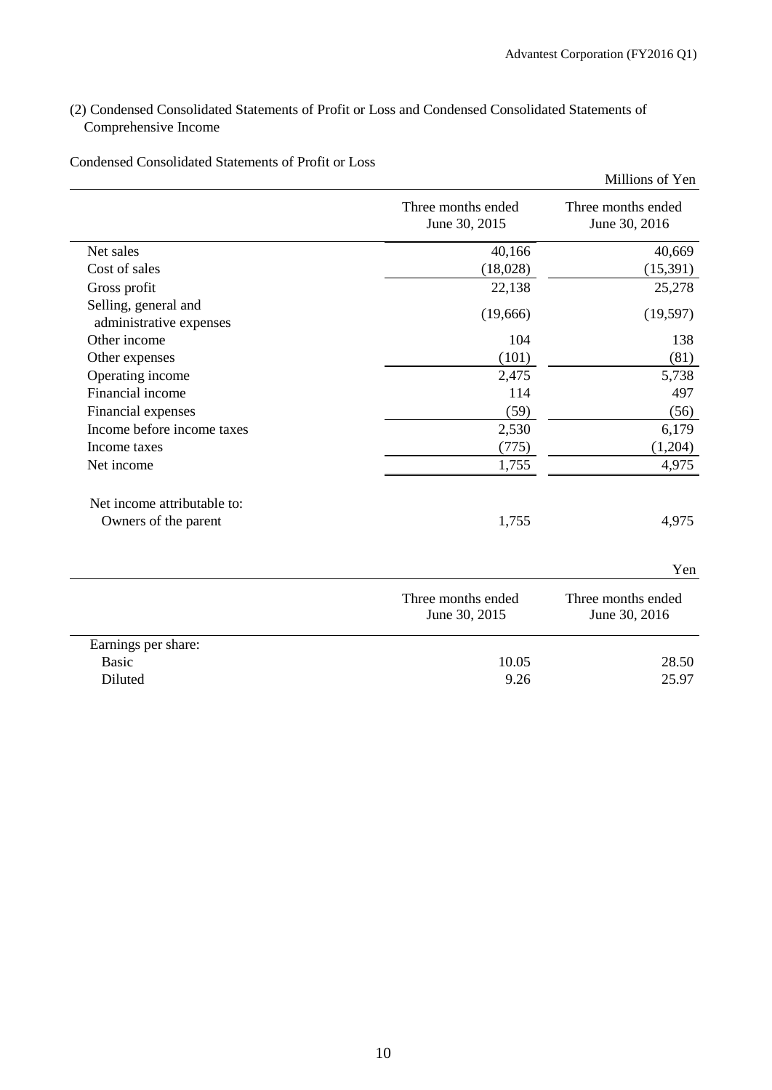# (2) Condensed Consolidated Statements of Profit or Loss and Condensed Consolidated Statements of Comprehensive Income

| Three months ended<br>June 30, 2015 | Three months ended<br>June 30, 2016 |
|-------------------------------------|-------------------------------------|
| 40,166                              | 40,669                              |
| (18,028)                            | (15,391)                            |
| 22,138                              | 25,278                              |
| (19,666)                            | (19, 597)                           |
| 104                                 | 138                                 |
| (101)                               | (81)                                |
| 2,475                               | 5,738                               |
| 114                                 | 497                                 |
| (59)                                | (56)                                |
| 2,530                               | 6,179                               |
| (775)                               | (1,204)                             |
| 1,755                               | 4,975                               |
| 1,755                               | 4,975                               |
|                                     | Yen                                 |
| Three months ended<br>June 30, 2015 | Three months ended<br>June 30, 2016 |
|                                     |                                     |
| 10.05                               | 28.50                               |
| 9.26                                | 25.97                               |
|                                     |                                     |

Condensed Consolidated Statements of Profit or Loss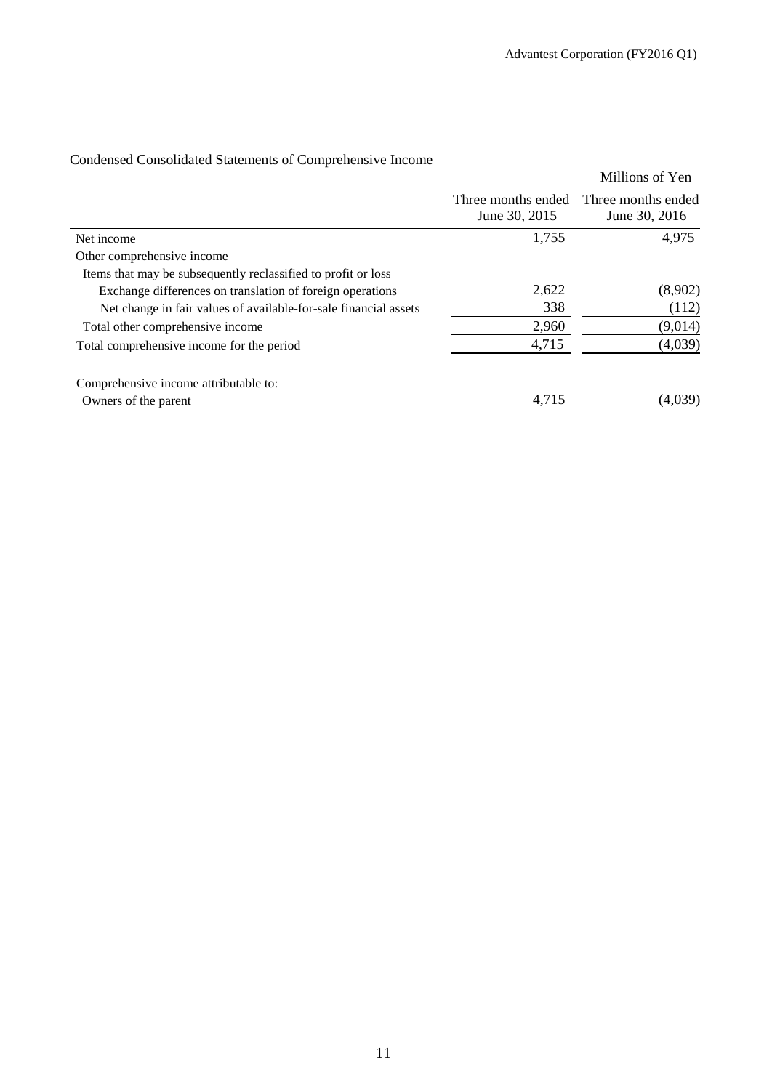|                                                                  |                                     | Millions of Yen                     |
|------------------------------------------------------------------|-------------------------------------|-------------------------------------|
|                                                                  | Three months ended<br>June 30, 2015 | Three months ended<br>June 30, 2016 |
| Net income                                                       | 1,755                               | 4,975                               |
| Other comprehensive income                                       |                                     |                                     |
| Items that may be subsequently reclassified to profit or loss    |                                     |                                     |
| Exchange differences on translation of foreign operations        | 2,622                               | (8,902)                             |
| Net change in fair values of available-for-sale financial assets | 338                                 | (112)                               |
| Total other comprehensive income                                 | 2,960                               | (9,014)                             |
| Total comprehensive income for the period                        | 4,715                               | (4,039)                             |
| Comprehensive income attributable to:                            |                                     |                                     |
| Owners of the parent                                             | 4,715                               | (4,039)                             |

# Condensed Consolidated Statements of Comprehensive Income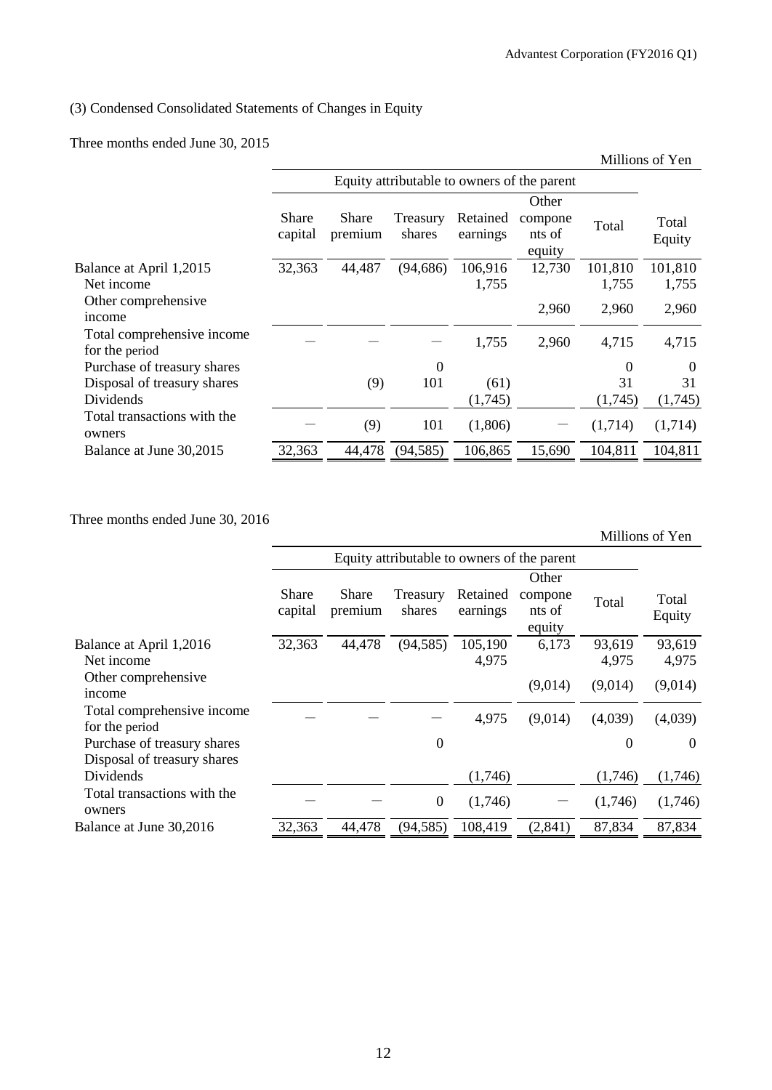# (3) Condensed Consolidated Statements of Changes in Equity

Three months ended June 30, 2015

|                                              |                                             |                  |                    |                      | Millions of Yen                      |         |                 |
|----------------------------------------------|---------------------------------------------|------------------|--------------------|----------------------|--------------------------------------|---------|-----------------|
|                                              | Equity attributable to owners of the parent |                  |                    |                      |                                      |         |                 |
|                                              | <b>Share</b><br>capital                     | Share<br>premium | Treasury<br>shares | Retained<br>earnings | Other<br>compone<br>nts of<br>equity | Total   | Total<br>Equity |
| Balance at April 1,2015                      | 32,363                                      | 44,487           | (94, 686)          | 106,916              | 12,730                               | 101,810 | 101,810         |
| Net income                                   |                                             |                  |                    | 1,755                |                                      | 1,755   | 1,755           |
| Other comprehensive<br>income                |                                             |                  |                    |                      | 2,960                                | 2,960   | 2,960           |
| Total comprehensive income<br>for the period |                                             |                  |                    | 1,755                | 2,960                                | 4,715   | 4,715           |
| Purchase of treasury shares                  |                                             |                  | $\boldsymbol{0}$   |                      |                                      | 0       | $\Omega$        |
| Disposal of treasury shares                  |                                             | (9)              | 101                | (61)                 |                                      | 31      | 31              |
| Dividends                                    |                                             |                  |                    | (1,745)              |                                      | (1,745) | (1,745)         |
| Total transactions with the<br>owners        |                                             | (9)              | 101                | (1,806)              |                                      | (1,714) | (1,714)         |
| Balance at June 30,2015                      | 32,363                                      | 44,478           | (94, 585)          | 106,865              | 15,690                               | 104,811 | 104,811         |
|                                              |                                             |                  |                    |                      |                                      |         |                 |

Three months ended June 30, 2016

Millions of Yen

| Equity attributable to owners of the parent<br>Share<br>Share<br>Retained<br>Treasury<br>shares<br>capital<br>earnings<br>premium | Other<br>compone<br>Total |                 |
|-----------------------------------------------------------------------------------------------------------------------------------|---------------------------|-----------------|
|                                                                                                                                   |                           |                 |
|                                                                                                                                   | nts of<br>equity          | Total<br>Equity |
| 44,478<br>(94, 585)<br>32,363<br>105,190<br>Balance at April 1,2016<br>4,975<br>Net income                                        | 6,173<br>93,619<br>4,975  | 93,619<br>4,975 |
| Other comprehensive<br>income                                                                                                     | (9,014)<br>(9,014)        | (9,014)         |
| Total comprehensive income<br>4,975<br>for the period                                                                             | (4,039)<br>(9,014)        | (4,039)         |
| $\overline{0}$<br>Purchase of treasury shares<br>Disposal of treasury shares                                                      | $\boldsymbol{0}$          | $\theta$        |
| Dividends<br>(1,746)                                                                                                              | (1,746)                   | (1,746)         |
| Total transactions with the<br>$\boldsymbol{0}$<br>(1,746)<br>owners                                                              | (1,746)                   | (1,746)         |
| 108,419<br>32,363<br>44,478<br>(94, 585)<br>Balance at June 30,2016                                                               | 87,834<br>(2, 841)        | 87,834          |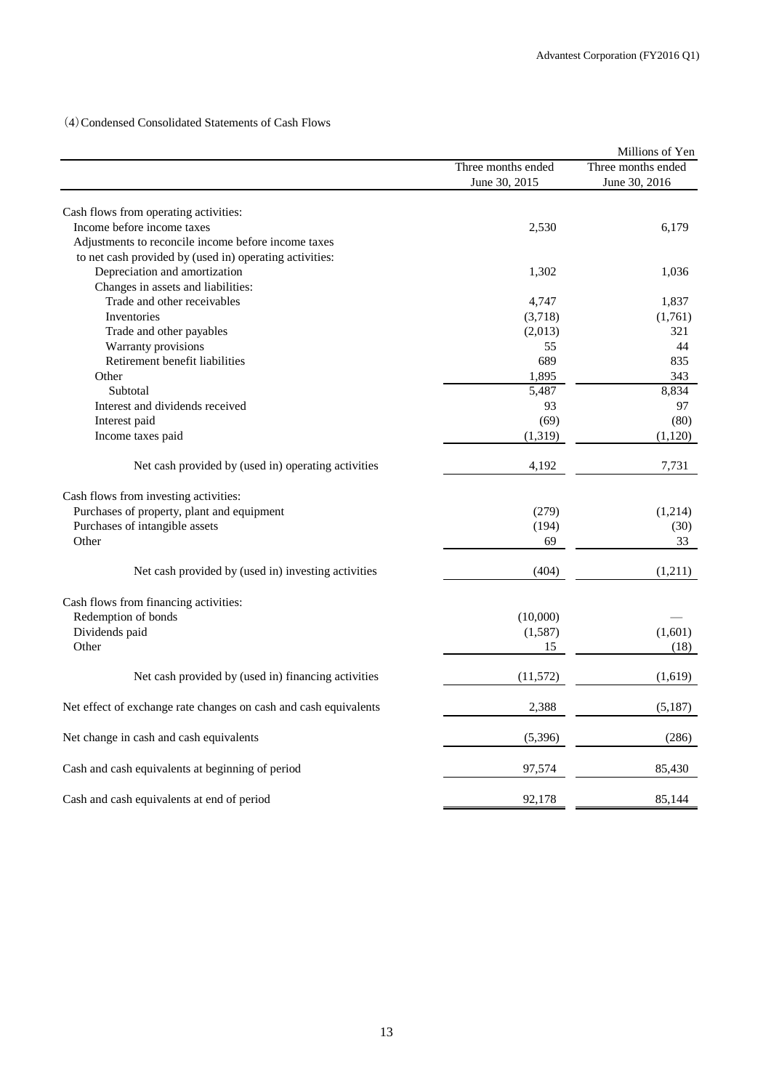(4)Condensed Consolidated Statements of Cash Flows

|                                                                  |                    | Millions of Yen    |
|------------------------------------------------------------------|--------------------|--------------------|
|                                                                  | Three months ended | Three months ended |
|                                                                  | June 30, 2015      | June 30, 2016      |
|                                                                  |                    |                    |
| Cash flows from operating activities:                            |                    |                    |
| Income before income taxes                                       | 2,530              | 6,179              |
| Adjustments to reconcile income before income taxes              |                    |                    |
| to net cash provided by (used in) operating activities:          |                    |                    |
| Depreciation and amortization                                    | 1,302              | 1,036              |
| Changes in assets and liabilities:                               |                    |                    |
| Trade and other receivables                                      | 4,747              | 1,837              |
| Inventories                                                      | (3,718)            | (1,761)            |
| Trade and other payables                                         | (2,013)            | 321                |
| Warranty provisions                                              | 55                 | 44                 |
| Retirement benefit liabilities                                   | 689                | 835                |
| Other                                                            | 1,895              | 343                |
| Subtotal                                                         | 5,487              | 8,834              |
| Interest and dividends received                                  | 93                 | 97                 |
| Interest paid                                                    | (69)               | (80)               |
| Income taxes paid                                                | (1, 319)           | (1,120)            |
| Net cash provided by (used in) operating activities              | 4,192              | 7,731              |
| Cash flows from investing activities:                            |                    |                    |
| Purchases of property, plant and equipment                       | (279)              | (1,214)            |
| Purchases of intangible assets                                   | (194)              | (30)               |
| Other                                                            | 69                 | 33                 |
|                                                                  |                    |                    |
| Net cash provided by (used in) investing activities              | (404)              | (1,211)            |
| Cash flows from financing activities:                            |                    |                    |
| Redemption of bonds                                              | (10,000)           |                    |
| Dividends paid                                                   | (1,587)            | (1,601)            |
| Other                                                            | 15                 | (18)               |
|                                                                  |                    |                    |
| Net cash provided by (used in) financing activities              | (11,572)           | (1,619)            |
| Net effect of exchange rate changes on cash and cash equivalents | 2,388              | (5,187)            |
| Net change in cash and cash equivalents                          | (5, 396)           | (286)              |
| Cash and cash equivalents at beginning of period                 | 97,574             | 85,430             |
| Cash and cash equivalents at end of period                       | 92,178             | 85,144             |